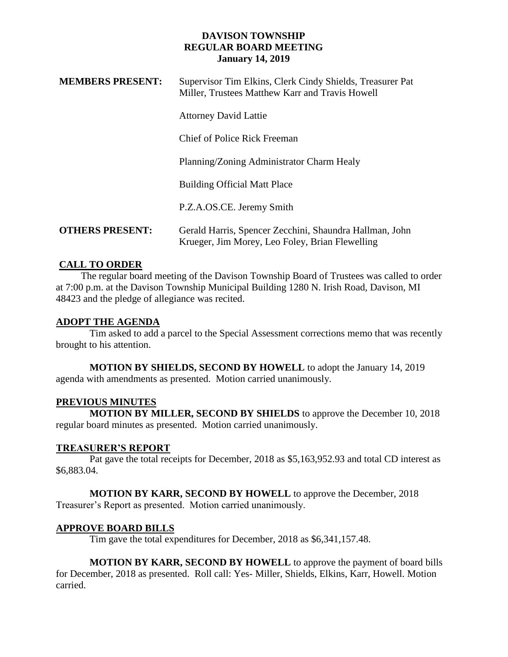## **DAVISON TOWNSHIP REGULAR BOARD MEETING January 14, 2019**

| <b>MEMBERS PRESENT:</b> | Supervisor Tim Elkins, Clerk Cindy Shields, Treasurer Pat<br>Miller, Trustees Matthew Karr and Travis Howell |
|-------------------------|--------------------------------------------------------------------------------------------------------------|
|                         | <b>Attorney David Lattie</b>                                                                                 |
|                         | <b>Chief of Police Rick Freeman</b>                                                                          |
|                         | Planning/Zoning Administrator Charm Healy                                                                    |
|                         | <b>Building Official Matt Place</b>                                                                          |
|                         | P.Z.A.OS.CE. Jeremy Smith                                                                                    |
| <b>OTHERS PRESENT:</b>  | Gerald Harris, Spencer Zecchini, Shaundra Hallman, John<br>Krueger, Jim Morey, Leo Foley, Brian Flewelling   |

## **CALL TO ORDER**

 The regular board meeting of the Davison Township Board of Trustees was called to order at 7:00 p.m. at the Davison Township Municipal Building 1280 N. Irish Road, Davison, MI 48423 and the pledge of allegiance was recited.

## **ADOPT THE AGENDA**

Tim asked to add a parcel to the Special Assessment corrections memo that was recently brought to his attention.

**MOTION BY SHIELDS, SECOND BY HOWELL** to adopt the January 14, 2019 agenda with amendments as presented. Motion carried unanimously.

## **PREVIOUS MINUTES**

**MOTION BY MILLER, SECOND BY SHIELDS** to approve the December 10, 2018 regular board minutes as presented. Motion carried unanimously.

## **TREASURER'S REPORT**

Pat gave the total receipts for December, 2018 as \$5,163,952.93 and total CD interest as \$6,883.04.

**MOTION BY KARR, SECOND BY HOWELL** to approve the December, 2018 Treasurer's Report as presented. Motion carried unanimously.

# **APPROVE BOARD BILLS**

Tim gave the total expenditures for December, 2018 as \$6,341,157.48.

**MOTION BY KARR, SECOND BY HOWELL** to approve the payment of board bills for December, 2018 as presented. Roll call: Yes- Miller, Shields, Elkins, Karr, Howell. Motion carried.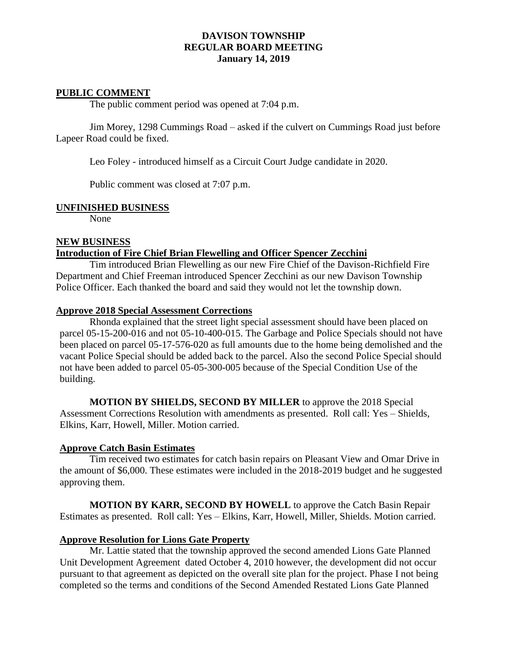## **DAVISON TOWNSHIP REGULAR BOARD MEETING January 14, 2019**

## **PUBLIC COMMENT**

The public comment period was opened at 7:04 p.m.

Jim Morey, 1298 Cummings Road – asked if the culvert on Cummings Road just before Lapeer Road could be fixed.

Leo Foley - introduced himself as a Circuit Court Judge candidate in 2020.

Public comment was closed at 7:07 p.m.

#### **UNFINISHED BUSINESS**

None

#### **NEW BUSINESS Introduction of Fire Chief Brian Flewelling and Officer Spencer Zecchini**

Tim introduced Brian Flewelling as our new Fire Chief of the Davison-Richfield Fire Department and Chief Freeman introduced Spencer Zecchini as our new Davison Township Police Officer. Each thanked the board and said they would not let the township down.

#### **Approve 2018 Special Assessment Corrections**

Rhonda explained that the street light special assessment should have been placed on parcel 05-15-200-016 and not 05-10-400-015. The Garbage and Police Specials should not have been placed on parcel 05-17-576-020 as full amounts due to the home being demolished and the vacant Police Special should be added back to the parcel. Also the second Police Special should not have been added to parcel 05-05-300-005 because of the Special Condition Use of the building.

#### **MOTION BY SHIELDS, SECOND BY MILLER** to approve the 2018 Special

Assessment Corrections Resolution with amendments as presented. Roll call: Yes – Shields, Elkins, Karr, Howell, Miller. Motion carried.

#### **Approve Catch Basin Estimates**

Tim received two estimates for catch basin repairs on Pleasant View and Omar Drive in the amount of \$6,000. These estimates were included in the 2018-2019 budget and he suggested approving them.

**MOTION BY KARR, SECOND BY HOWELL** to approve the Catch Basin Repair Estimates as presented. Roll call: Yes – Elkins, Karr, Howell, Miller, Shields. Motion carried.

#### **Approve Resolution for Lions Gate Property**

Mr. Lattie stated that the township approved the second amended Lions Gate Planned Unit Development Agreement dated October 4, 2010 however, the development did not occur pursuant to that agreement as depicted on the overall site plan for the project. Phase I not being completed so the terms and conditions of the Second Amended Restated Lions Gate Planned